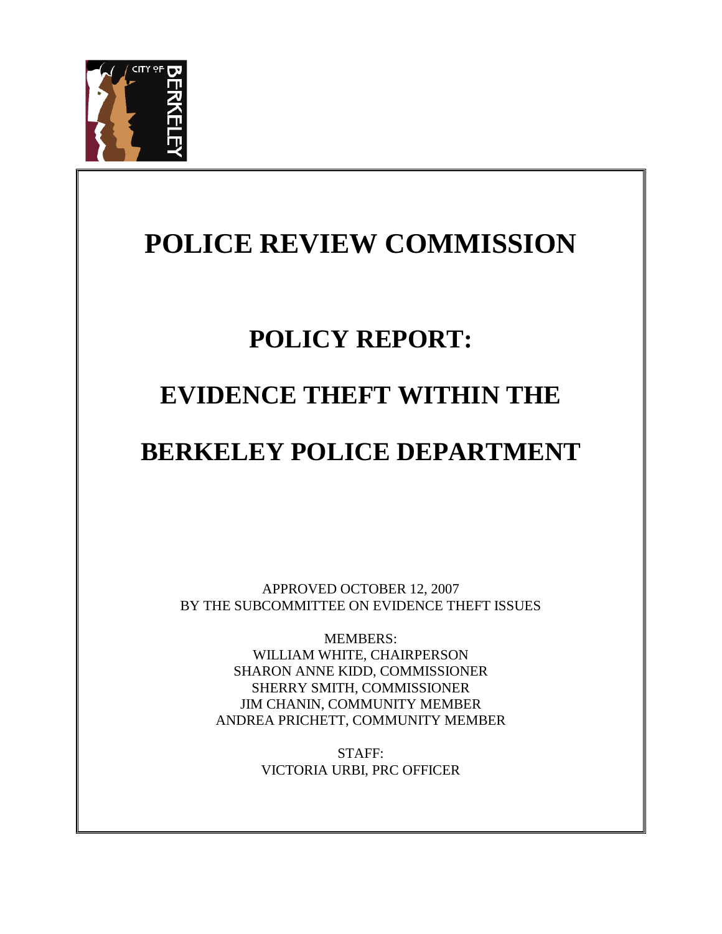

# **POLICE REVIEW COMMISSION**

# **POLICY REPORT:**

# **EVIDENCE THEFT WITHIN THE**

# **BERKELEY POLICE DEPARTMENT**

APPROVED OCTOBER 12, 2007 BY THE SUBCOMMITTEE ON EVIDENCE THEFT ISSUES

MEMBERS: WILLIAM WHITE, CHAIRPERSON SHARON ANNE KIDD, COMMISSIONER SHERRY SMITH, COMMISSIONER JIM CHANIN, COMMUNITY MEMBER ANDREA PRICHETT, COMMUNITY MEMBER

> STAFF: VICTORIA URBI, PRC OFFICER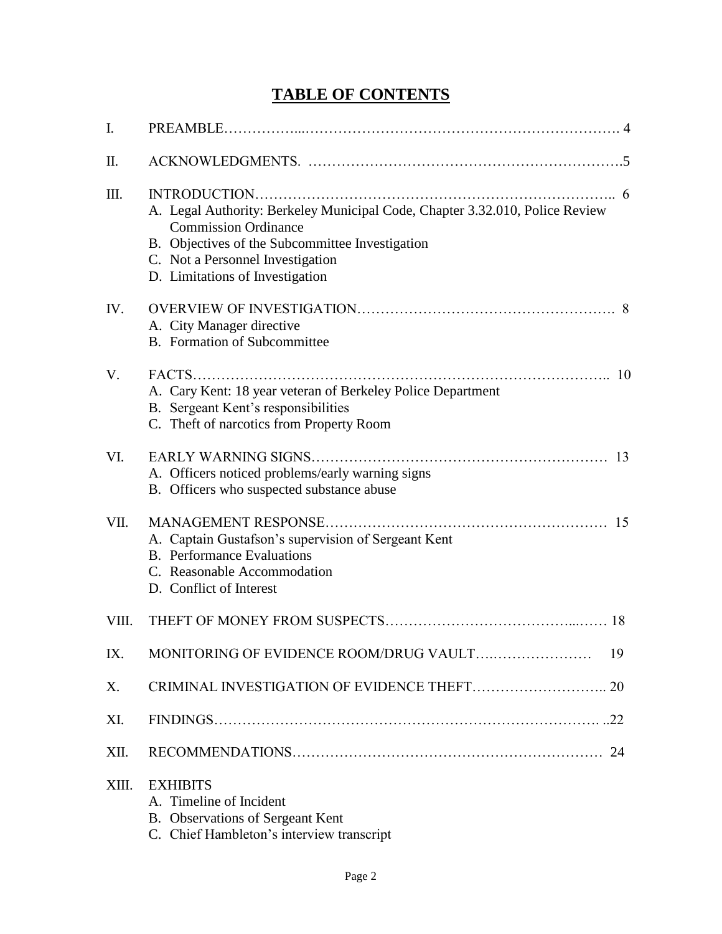# **TABLE OF CONTENTS**

| I.    |                                                                                                                                                                                                                                       |
|-------|---------------------------------------------------------------------------------------------------------------------------------------------------------------------------------------------------------------------------------------|
| Π.    |                                                                                                                                                                                                                                       |
| Ш.    | A. Legal Authority: Berkeley Municipal Code, Chapter 3.32.010, Police Review<br><b>Commission Ordinance</b><br>B. Objectives of the Subcommittee Investigation<br>C. Not a Personnel Investigation<br>D. Limitations of Investigation |
| IV.   | A. City Manager directive<br>B. Formation of Subcommittee                                                                                                                                                                             |
| V.    | 10<br>A. Cary Kent: 18 year veteran of Berkeley Police Department<br>B. Sergeant Kent's responsibilities<br>C. Theft of narcotics from Property Room                                                                                  |
| VI.   | <b>EARLY WARNING SIGNS</b><br>13<br>A. Officers noticed problems/early warning signs<br>B. Officers who suspected substance abuse                                                                                                     |
| VII.  | 15<br>A. Captain Gustafson's supervision of Sergeant Kent<br><b>B.</b> Performance Evaluations<br>C. Reasonable Accommodation<br>D. Conflict of Interest                                                                              |
| VIII. | 18                                                                                                                                                                                                                                    |
| IX.   | 19                                                                                                                                                                                                                                    |
| X.    |                                                                                                                                                                                                                                       |
| XI.   |                                                                                                                                                                                                                                       |
| XII.  | 24                                                                                                                                                                                                                                    |
| XIII. | <b>EXHIBITS</b><br>A. Timeline of Incident<br>B. Observations of Sergeant Kent<br>C. Chief Hambleton's interview transcript                                                                                                           |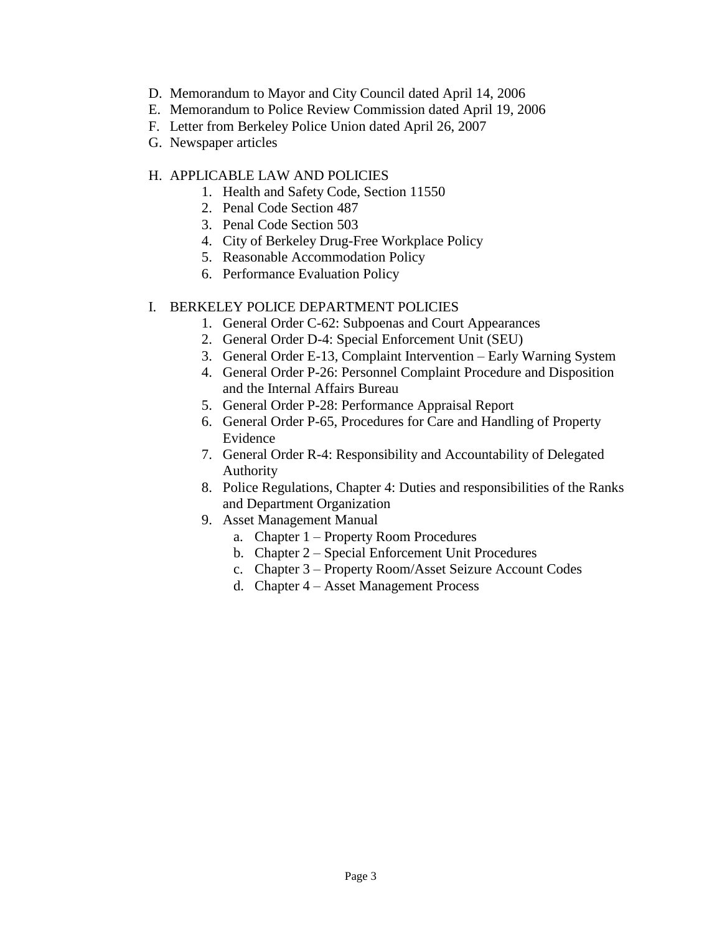- D. Memorandum to Mayor and City Council dated April 14, 2006
- E. Memorandum to Police Review Commission dated April 19, 2006
- F. Letter from Berkeley Police Union dated April 26, 2007
- G. Newspaper articles

# H. APPLICABLE LAW AND POLICIES

- 1. Health and Safety Code, Section 11550
- 2. Penal Code Section 487
- 3. Penal Code Section 503
- 4. City of Berkeley Drug-Free Workplace Policy
- 5. Reasonable Accommodation Policy
- 6. Performance Evaluation Policy

# I. BERKELEY POLICE DEPARTMENT POLICIES

- 1. General Order C-62: Subpoenas and Court Appearances
- 2. General Order D-4: Special Enforcement Unit (SEU)
- 3. General Order E-13, Complaint Intervention Early Warning System
- 4. General Order P-26: Personnel Complaint Procedure and Disposition and the Internal Affairs Bureau
- 5. General Order P-28: Performance Appraisal Report
- 6. General Order P-65, Procedures for Care and Handling of Property Evidence
- 7. General Order R-4: Responsibility and Accountability of Delegated Authority
- 8. Police Regulations, Chapter 4: Duties and responsibilities of the Ranks and Department Organization
- 9. Asset Management Manual
	- a. Chapter 1 Property Room Procedures
	- b. Chapter 2 Special Enforcement Unit Procedures
	- c. Chapter 3 Property Room/Asset Seizure Account Codes
	- d. Chapter 4 Asset Management Process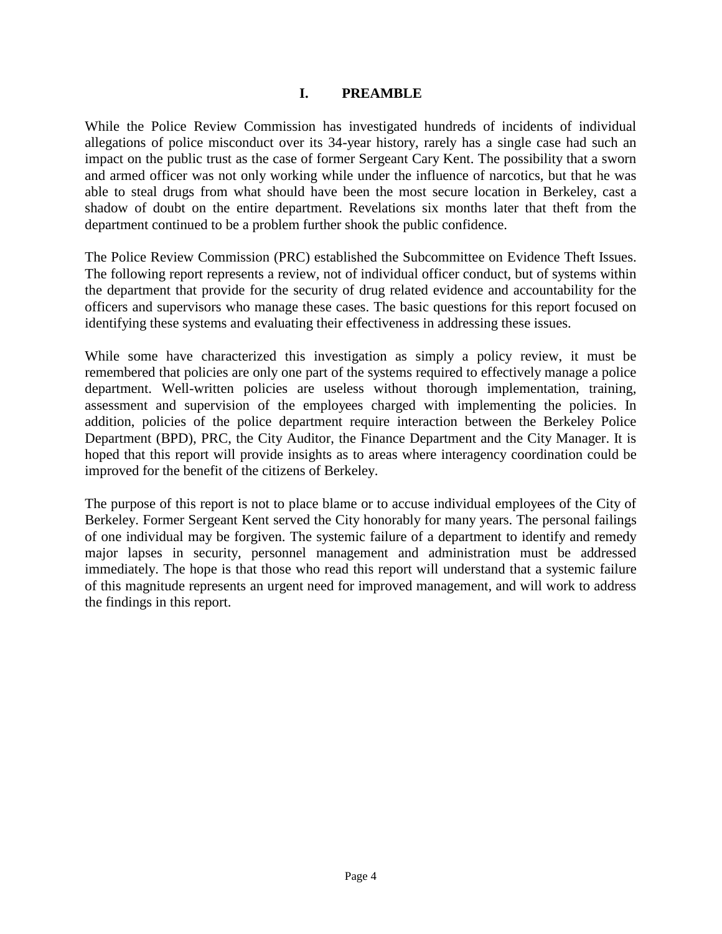#### **I. PREAMBLE**

While the Police Review Commission has investigated hundreds of incidents of individual allegations of police misconduct over its 34-year history, rarely has a single case had such an impact on the public trust as the case of former Sergeant Cary Kent. The possibility that a sworn and armed officer was not only working while under the influence of narcotics, but that he was able to steal drugs from what should have been the most secure location in Berkeley, cast a shadow of doubt on the entire department. Revelations six months later that theft from the department continued to be a problem further shook the public confidence.

The Police Review Commission (PRC) established the Subcommittee on Evidence Theft Issues. The following report represents a review, not of individual officer conduct, but of systems within the department that provide for the security of drug related evidence and accountability for the officers and supervisors who manage these cases. The basic questions for this report focused on identifying these systems and evaluating their effectiveness in addressing these issues.

While some have characterized this investigation as simply a policy review, it must be remembered that policies are only one part of the systems required to effectively manage a police department. Well-written policies are useless without thorough implementation, training, assessment and supervision of the employees charged with implementing the policies. In addition, policies of the police department require interaction between the Berkeley Police Department (BPD), PRC, the City Auditor, the Finance Department and the City Manager. It is hoped that this report will provide insights as to areas where interagency coordination could be improved for the benefit of the citizens of Berkeley.

The purpose of this report is not to place blame or to accuse individual employees of the City of Berkeley. Former Sergeant Kent served the City honorably for many years. The personal failings of one individual may be forgiven. The systemic failure of a department to identify and remedy major lapses in security, personnel management and administration must be addressed immediately. The hope is that those who read this report will understand that a systemic failure of this magnitude represents an urgent need for improved management, and will work to address the findings in this report.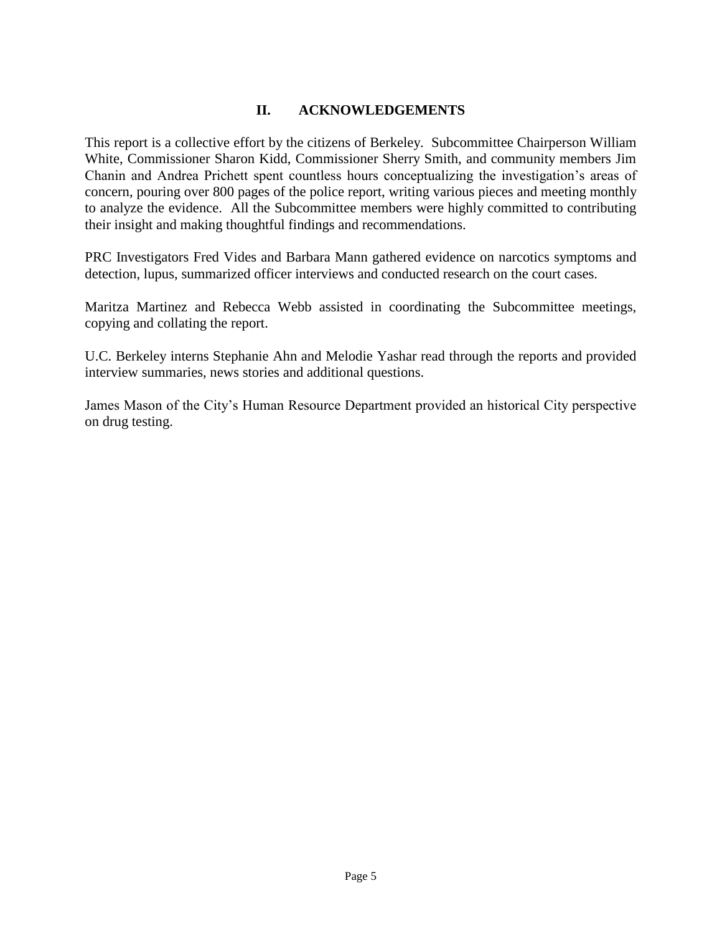# **II. ACKNOWLEDGEMENTS**

This report is a collective effort by the citizens of Berkeley. Subcommittee Chairperson William White, Commissioner Sharon Kidd, Commissioner Sherry Smith, and community members Jim Chanin and Andrea Prichett spent countless hours conceptualizing the investigation's areas of concern, pouring over 800 pages of the police report, writing various pieces and meeting monthly to analyze the evidence. All the Subcommittee members were highly committed to contributing their insight and making thoughtful findings and recommendations.

PRC Investigators Fred Vides and Barbara Mann gathered evidence on narcotics symptoms and detection, lupus, summarized officer interviews and conducted research on the court cases.

Maritza Martinez and Rebecca Webb assisted in coordinating the Subcommittee meetings, copying and collating the report.

U.C. Berkeley interns Stephanie Ahn and Melodie Yashar read through the reports and provided interview summaries, news stories and additional questions.

James Mason of the City's Human Resource Department provided an historical City perspective on drug testing.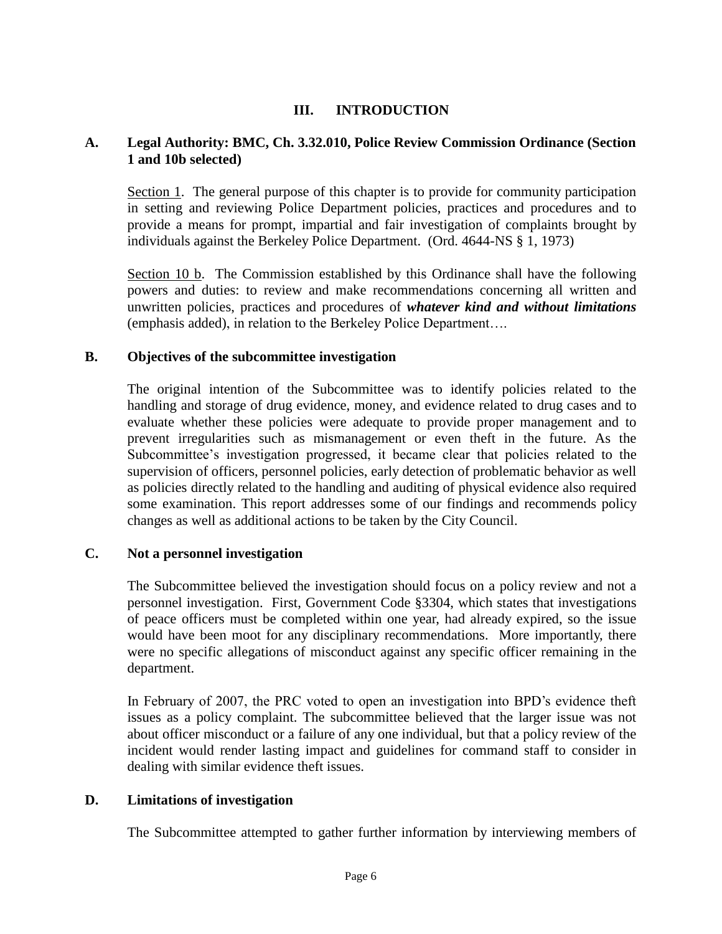# **III. INTRODUCTION**

### **A. Legal Authority: BMC, Ch. 3.32.010, Police Review Commission Ordinance (Section 1 and 10b selected)**

Section 1. The general purpose of this chapter is to provide for community participation in setting and reviewing Police Department policies, practices and procedures and to provide a means for prompt, impartial and fair investigation of complaints brought by individuals against the Berkeley Police Department. (Ord. 4644-NS § 1, 1973)

Section 10 b. The Commission established by this Ordinance shall have the following powers and duties: to review and make recommendations concerning all written and unwritten policies, practices and procedures of *whatever kind and without limitations* (emphasis added), in relation to the Berkeley Police Department….

#### **B. Objectives of the subcommittee investigation**

The original intention of the Subcommittee was to identify policies related to the handling and storage of drug evidence, money, and evidence related to drug cases and to evaluate whether these policies were adequate to provide proper management and to prevent irregularities such as mismanagement or even theft in the future. As the Subcommittee's investigation progressed, it became clear that policies related to the supervision of officers, personnel policies, early detection of problematic behavior as well as policies directly related to the handling and auditing of physical evidence also required some examination. This report addresses some of our findings and recommends policy changes as well as additional actions to be taken by the City Council.

#### **C. Not a personnel investigation**

The Subcommittee believed the investigation should focus on a policy review and not a personnel investigation. First, Government Code §3304, which states that investigations of peace officers must be completed within one year, had already expired, so the issue would have been moot for any disciplinary recommendations. More importantly, there were no specific allegations of misconduct against any specific officer remaining in the department.

In February of 2007, the PRC voted to open an investigation into BPD's evidence theft issues as a policy complaint. The subcommittee believed that the larger issue was not about officer misconduct or a failure of any one individual, but that a policy review of the incident would render lasting impact and guidelines for command staff to consider in dealing with similar evidence theft issues.

## **D. Limitations of investigation**

The Subcommittee attempted to gather further information by interviewing members of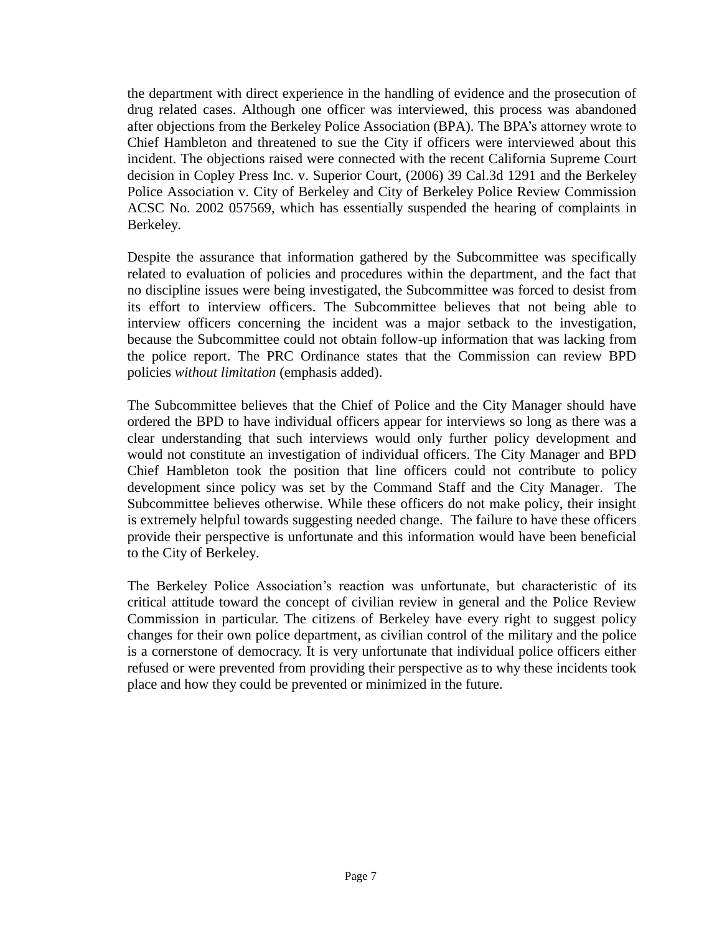the department with direct experience in the handling of evidence and the prosecution of drug related cases. Although one officer was interviewed, this process was abandoned after objections from the Berkeley Police Association (BPA). The BPA's attorney wrote to Chief Hambleton and threatened to sue the City if officers were interviewed about this incident. The objections raised were connected with the recent California Supreme Court decision in Copley Press Inc. v. Superior Court, (2006) 39 Cal.3d 1291 and the Berkeley Police Association v. City of Berkeley and City of Berkeley Police Review Commission ACSC No. 2002 057569, which has essentially suspended the hearing of complaints in Berkeley.

Despite the assurance that information gathered by the Subcommittee was specifically related to evaluation of policies and procedures within the department, and the fact that no discipline issues were being investigated, the Subcommittee was forced to desist from its effort to interview officers. The Subcommittee believes that not being able to interview officers concerning the incident was a major setback to the investigation, because the Subcommittee could not obtain follow-up information that was lacking from the police report. The PRC Ordinance states that the Commission can review BPD policies *without limitation* (emphasis added).

The Subcommittee believes that the Chief of Police and the City Manager should have ordered the BPD to have individual officers appear for interviews so long as there was a clear understanding that such interviews would only further policy development and would not constitute an investigation of individual officers. The City Manager and BPD Chief Hambleton took the position that line officers could not contribute to policy development since policy was set by the Command Staff and the City Manager. The Subcommittee believes otherwise. While these officers do not make policy, their insight is extremely helpful towards suggesting needed change. The failure to have these officers provide their perspective is unfortunate and this information would have been beneficial to the City of Berkeley.

The Berkeley Police Association's reaction was unfortunate, but characteristic of its critical attitude toward the concept of civilian review in general and the Police Review Commission in particular. The citizens of Berkeley have every right to suggest policy changes for their own police department, as civilian control of the military and the police is a cornerstone of democracy. It is very unfortunate that individual police officers either refused or were prevented from providing their perspective as to why these incidents took place and how they could be prevented or minimized in the future.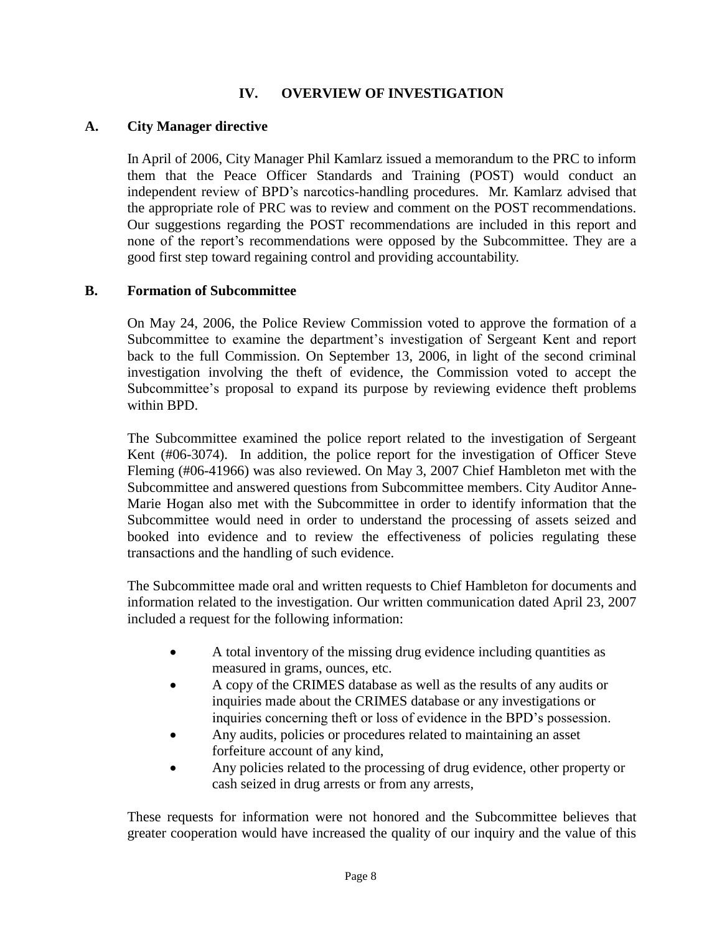# **IV. OVERVIEW OF INVESTIGATION**

## **A. City Manager directive**

In April of 2006, City Manager Phil Kamlarz issued a memorandum to the PRC to inform them that the Peace Officer Standards and Training (POST) would conduct an independent review of BPD's narcotics-handling procedures. Mr. Kamlarz advised that the appropriate role of PRC was to review and comment on the POST recommendations. Our suggestions regarding the POST recommendations are included in this report and none of the report's recommendations were opposed by the Subcommittee. They are a good first step toward regaining control and providing accountability.

## **B. Formation of Subcommittee**

On May 24, 2006, the Police Review Commission voted to approve the formation of a Subcommittee to examine the department's investigation of Sergeant Kent and report back to the full Commission. On September 13, 2006, in light of the second criminal investigation involving the theft of evidence, the Commission voted to accept the Subcommittee's proposal to expand its purpose by reviewing evidence theft problems within BPD.

The Subcommittee examined the police report related to the investigation of Sergeant Kent (#06-3074). In addition, the police report for the investigation of Officer Steve Fleming (#06-41966) was also reviewed. On May 3, 2007 Chief Hambleton met with the Subcommittee and answered questions from Subcommittee members. City Auditor Anne-Marie Hogan also met with the Subcommittee in order to identify information that the Subcommittee would need in order to understand the processing of assets seized and booked into evidence and to review the effectiveness of policies regulating these transactions and the handling of such evidence.

The Subcommittee made oral and written requests to Chief Hambleton for documents and information related to the investigation. Our written communication dated April 23, 2007 included a request for the following information:

- A total inventory of the missing drug evidence including quantities as measured in grams, ounces, etc.
- A copy of the CRIMES database as well as the results of any audits or inquiries made about the CRIMES database or any investigations or inquiries concerning theft or loss of evidence in the BPD's possession.
- Any audits, policies or procedures related to maintaining an asset forfeiture account of any kind,
- Any policies related to the processing of drug evidence, other property or cash seized in drug arrests or from any arrests,

These requests for information were not honored and the Subcommittee believes that greater cooperation would have increased the quality of our inquiry and the value of this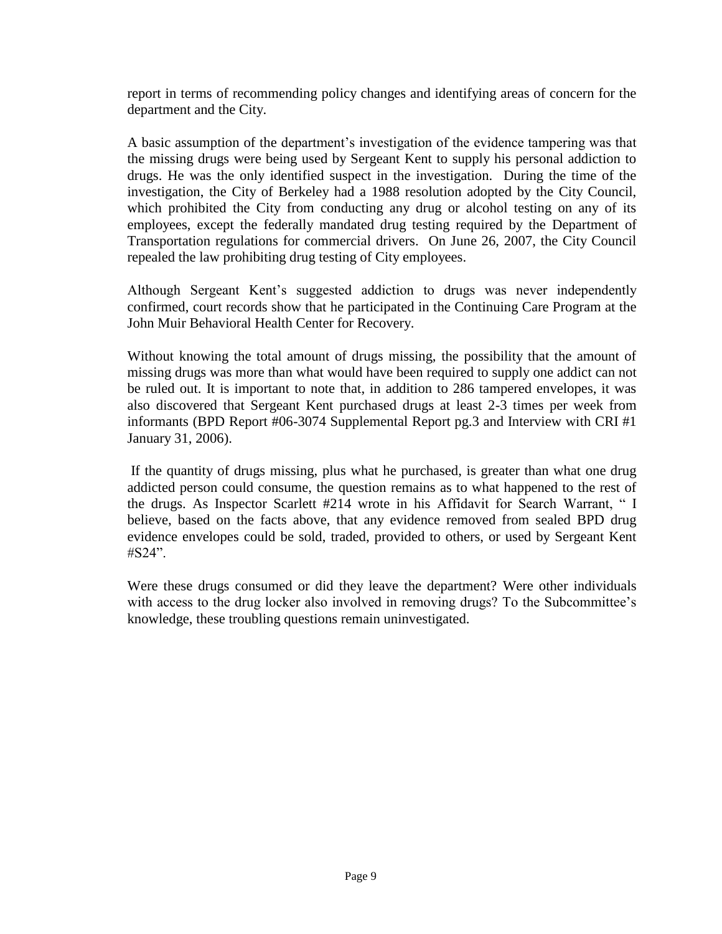report in terms of recommending policy changes and identifying areas of concern for the department and the City.

A basic assumption of the department's investigation of the evidence tampering was that the missing drugs were being used by Sergeant Kent to supply his personal addiction to drugs. He was the only identified suspect in the investigation. During the time of the investigation, the City of Berkeley had a 1988 resolution adopted by the City Council, which prohibited the City from conducting any drug or alcohol testing on any of its employees, except the federally mandated drug testing required by the Department of Transportation regulations for commercial drivers. On June 26, 2007, the City Council repealed the law prohibiting drug testing of City employees.

Although Sergeant Kent's suggested addiction to drugs was never independently confirmed, court records show that he participated in the Continuing Care Program at the John Muir Behavioral Health Center for Recovery.

Without knowing the total amount of drugs missing, the possibility that the amount of missing drugs was more than what would have been required to supply one addict can not be ruled out. It is important to note that, in addition to 286 tampered envelopes, it was also discovered that Sergeant Kent purchased drugs at least 2-3 times per week from informants (BPD Report #06-3074 Supplemental Report pg.3 and Interview with CRI #1 January 31, 2006).

If the quantity of drugs missing, plus what he purchased, is greater than what one drug addicted person could consume, the question remains as to what happened to the rest of the drugs. As Inspector Scarlett #214 wrote in his Affidavit for Search Warrant, " I believe, based on the facts above, that any evidence removed from sealed BPD drug evidence envelopes could be sold, traded, provided to others, or used by Sergeant Kent #S24".

Were these drugs consumed or did they leave the department? Were other individuals with access to the drug locker also involved in removing drugs? To the Subcommittee's knowledge, these troubling questions remain uninvestigated.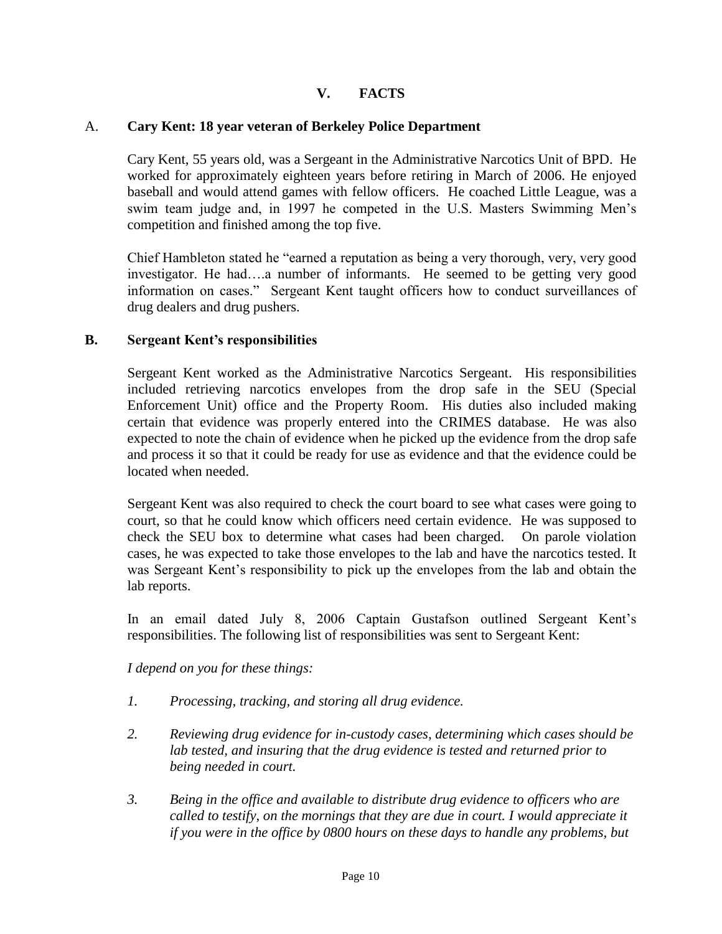# **V. FACTS**

#### A. **Cary Kent: 18 year veteran of Berkeley Police Department**

Cary Kent, 55 years old, was a Sergeant in the Administrative Narcotics Unit of BPD. He worked for approximately eighteen years before retiring in March of 2006. He enjoyed baseball and would attend games with fellow officers. He coached Little League, was a swim team judge and, in 1997 he competed in the U.S. Masters Swimming Men's competition and finished among the top five.

Chief Hambleton stated he "earned a reputation as being a very thorough, very, very good investigator. He had….a number of informants. He seemed to be getting very good information on cases." Sergeant Kent taught officers how to conduct surveillances of drug dealers and drug pushers.

#### **B. Sergeant Kent's responsibilities**

Sergeant Kent worked as the Administrative Narcotics Sergeant. His responsibilities included retrieving narcotics envelopes from the drop safe in the SEU (Special Enforcement Unit) office and the Property Room. His duties also included making certain that evidence was properly entered into the CRIMES database. He was also expected to note the chain of evidence when he picked up the evidence from the drop safe and process it so that it could be ready for use as evidence and that the evidence could be located when needed.

Sergeant Kent was also required to check the court board to see what cases were going to court, so that he could know which officers need certain evidence. He was supposed to check the SEU box to determine what cases had been charged. On parole violation cases, he was expected to take those envelopes to the lab and have the narcotics tested. It was Sergeant Kent's responsibility to pick up the envelopes from the lab and obtain the lab reports.

In an email dated July 8, 2006 Captain Gustafson outlined Sergeant Kent's responsibilities. The following list of responsibilities was sent to Sergeant Kent:

#### *I depend on you for these things:*

- *1. Processing, tracking, and storing all drug evidence.*
- *2. Reviewing drug evidence for in-custody cases, determining which cases should be lab tested, and insuring that the drug evidence is tested and returned prior to being needed in court.*
- *3. Being in the office and available to distribute drug evidence to officers who are called to testify, on the mornings that they are due in court. I would appreciate it if you were in the office by 0800 hours on these days to handle any problems, but*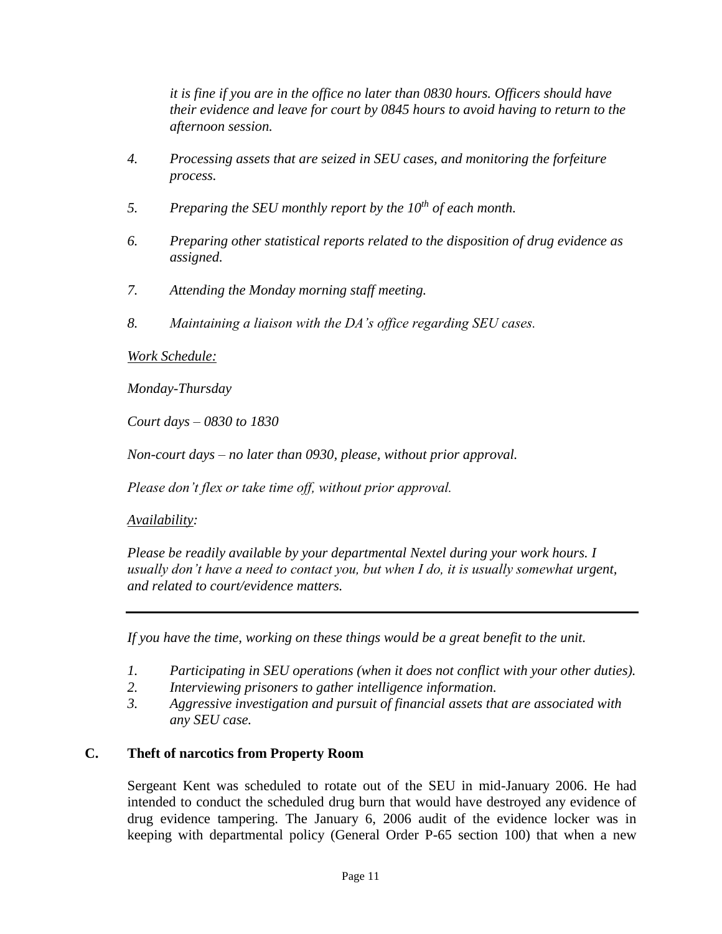*it is fine if you are in the office no later than 0830 hours. Officers should have their evidence and leave for court by 0845 hours to avoid having to return to the afternoon session.*

- *4. Processing assets that are seized in SEU cases, and monitoring the forfeiture process.*
- *5. Preparing the SEU monthly report by the 10th of each month.*
- *6. Preparing other statistical reports related to the disposition of drug evidence as assigned.*
- *7. Attending the Monday morning staff meeting.*
- *8. Maintaining a liaison with the DA's office regarding SEU cases.*

#### *Work Schedule:*

*Monday-Thursday*

*Court days – 0830 to 1830*

*Non-court days – no later than 0930, please, without prior approval.*

*Please don't flex or take time off, without prior approval.*

## *Availability:*

*Please be readily available by your departmental Nextel during your work hours. I usually don't have a need to contact you, but when I do, it is usually somewhat urgent, and related to court/evidence matters.*

*If you have the time, working on these things would be a great benefit to the unit.*

- *1. Participating in SEU operations (when it does not conflict with your other duties).*
- *2. Interviewing prisoners to gather intelligence information.*
- *3. Aggressive investigation and pursuit of financial assets that are associated with any SEU case.*

# **C. Theft of narcotics from Property Room**

Sergeant Kent was scheduled to rotate out of the SEU in mid-January 2006. He had intended to conduct the scheduled drug burn that would have destroyed any evidence of drug evidence tampering. The January 6, 2006 audit of the evidence locker was in keeping with departmental policy (General Order P-65 section 100) that when a new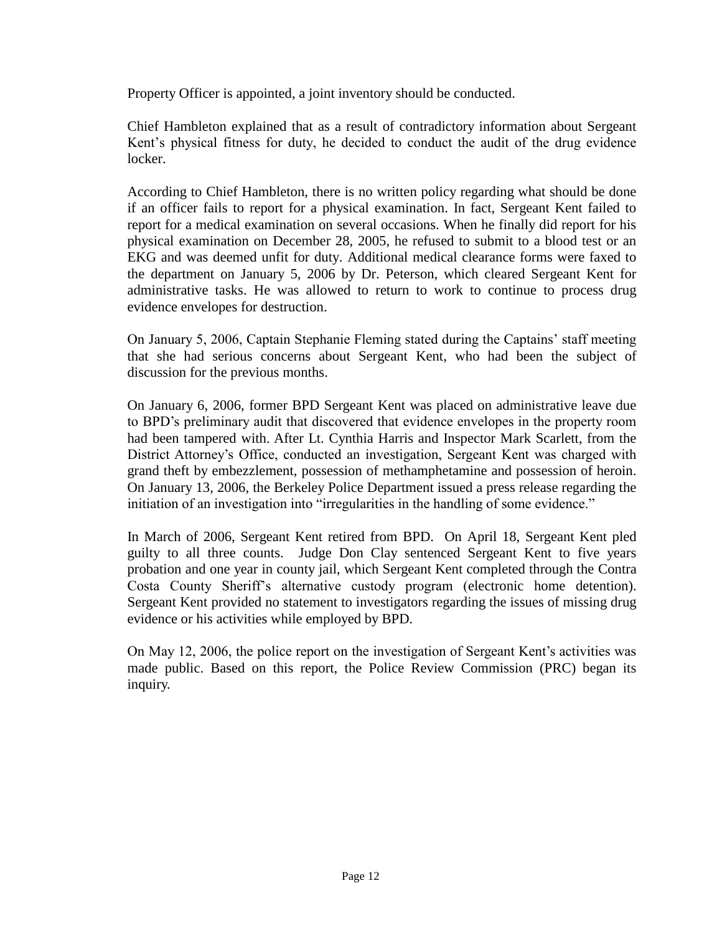Property Officer is appointed, a joint inventory should be conducted.

Chief Hambleton explained that as a result of contradictory information about Sergeant Kent's physical fitness for duty, he decided to conduct the audit of the drug evidence locker.

According to Chief Hambleton, there is no written policy regarding what should be done if an officer fails to report for a physical examination. In fact, Sergeant Kent failed to report for a medical examination on several occasions. When he finally did report for his physical examination on December 28, 2005, he refused to submit to a blood test or an EKG and was deemed unfit for duty. Additional medical clearance forms were faxed to the department on January 5, 2006 by Dr. Peterson, which cleared Sergeant Kent for administrative tasks. He was allowed to return to work to continue to process drug evidence envelopes for destruction.

On January 5, 2006, Captain Stephanie Fleming stated during the Captains' staff meeting that she had serious concerns about Sergeant Kent, who had been the subject of discussion for the previous months.

On January 6, 2006, former BPD Sergeant Kent was placed on administrative leave due to BPD's preliminary audit that discovered that evidence envelopes in the property room had been tampered with. After Lt. Cynthia Harris and Inspector Mark Scarlett, from the District Attorney's Office, conducted an investigation, Sergeant Kent was charged with grand theft by embezzlement, possession of methamphetamine and possession of heroin. On January 13, 2006, the Berkeley Police Department issued a press release regarding the initiation of an investigation into "irregularities in the handling of some evidence."

In March of 2006, Sergeant Kent retired from BPD. On April 18, Sergeant Kent pled guilty to all three counts. Judge Don Clay sentenced Sergeant Kent to five years probation and one year in county jail, which Sergeant Kent completed through the Contra Costa County Sheriff's alternative custody program (electronic home detention). Sergeant Kent provided no statement to investigators regarding the issues of missing drug evidence or his activities while employed by BPD.

On May 12, 2006, the police report on the investigation of Sergeant Kent's activities was made public. Based on this report, the Police Review Commission (PRC) began its inquiry.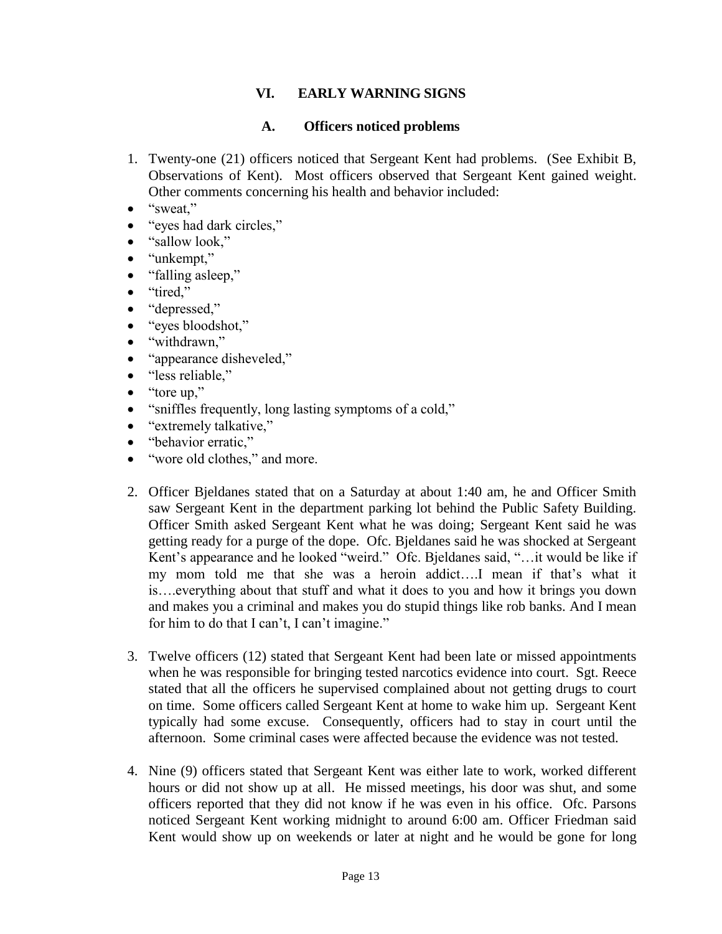# **VI. EARLY WARNING SIGNS**

## **A. Officers noticed problems**

- 1. Twenty-one (21) officers noticed that Sergeant Kent had problems. (See Exhibit B, Observations of Kent). Most officers observed that Sergeant Kent gained weight. Other comments concerning his health and behavior included:
- $\bullet$  "sweat,"
- "eyes had dark circles,"
- "sallow look,"
- "unkempt,"
- "falling asleep,"
- "tired."
- "depressed,"
- "eyes bloodshot,"
- "withdrawn,"
- "appearance disheveled,"
- "less reliable,"
- "tore up,"
- "sniffles frequently, long lasting symptoms of a cold,"
- "extremely talkative,"
- "behavior erratic,"
- "wore old clothes," and more.
- 2. Officer Bjeldanes stated that on a Saturday at about 1:40 am, he and Officer Smith saw Sergeant Kent in the department parking lot behind the Public Safety Building. Officer Smith asked Sergeant Kent what he was doing; Sergeant Kent said he was getting ready for a purge of the dope. Ofc. Bjeldanes said he was shocked at Sergeant Kent's appearance and he looked "weird." Ofc. Bjeldanes said, "…it would be like if my mom told me that she was a heroin addict….I mean if that's what it is….everything about that stuff and what it does to you and how it brings you down and makes you a criminal and makes you do stupid things like rob banks. And I mean for him to do that I can't, I can't imagine."
- 3. Twelve officers (12) stated that Sergeant Kent had been late or missed appointments when he was responsible for bringing tested narcotics evidence into court. Sgt. Reece stated that all the officers he supervised complained about not getting drugs to court on time. Some officers called Sergeant Kent at home to wake him up. Sergeant Kent typically had some excuse. Consequently, officers had to stay in court until the afternoon. Some criminal cases were affected because the evidence was not tested.
- 4. Nine (9) officers stated that Sergeant Kent was either late to work, worked different hours or did not show up at all. He missed meetings, his door was shut, and some officers reported that they did not know if he was even in his office. Ofc. Parsons noticed Sergeant Kent working midnight to around 6:00 am. Officer Friedman said Kent would show up on weekends or later at night and he would be gone for long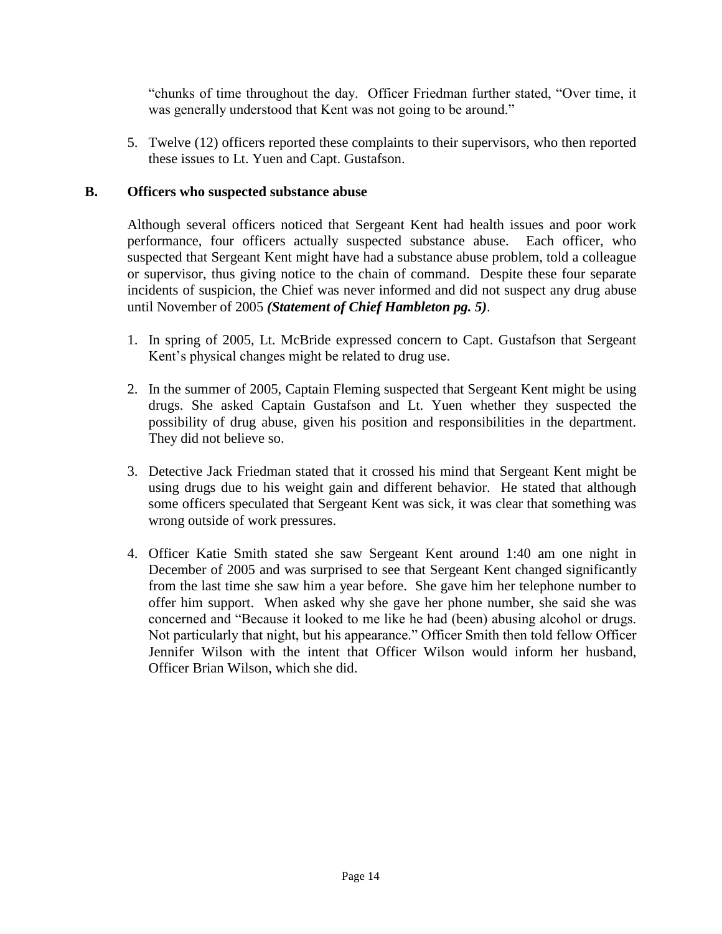"chunks of time throughout the day. Officer Friedman further stated, "Over time, it was generally understood that Kent was not going to be around."

5. Twelve (12) officers reported these complaints to their supervisors, who then reported these issues to Lt. Yuen and Capt. Gustafson.

# **B. Officers who suspected substance abuse**

Although several officers noticed that Sergeant Kent had health issues and poor work performance, four officers actually suspected substance abuse. Each officer, who suspected that Sergeant Kent might have had a substance abuse problem, told a colleague or supervisor, thus giving notice to the chain of command. Despite these four separate incidents of suspicion, the Chief was never informed and did not suspect any drug abuse until November of 2005 *(Statement of Chief Hambleton pg. 5)*.

- 1. In spring of 2005, Lt. McBride expressed concern to Capt. Gustafson that Sergeant Kent's physical changes might be related to drug use.
- 2. In the summer of 2005, Captain Fleming suspected that Sergeant Kent might be using drugs. She asked Captain Gustafson and Lt. Yuen whether they suspected the possibility of drug abuse, given his position and responsibilities in the department. They did not believe so.
- 3. Detective Jack Friedman stated that it crossed his mind that Sergeant Kent might be using drugs due to his weight gain and different behavior. He stated that although some officers speculated that Sergeant Kent was sick, it was clear that something was wrong outside of work pressures.
- 4. Officer Katie Smith stated she saw Sergeant Kent around 1:40 am one night in December of 2005 and was surprised to see that Sergeant Kent changed significantly from the last time she saw him a year before. She gave him her telephone number to offer him support. When asked why she gave her phone number, she said she was concerned and "Because it looked to me like he had (been) abusing alcohol or drugs. Not particularly that night, but his appearance." Officer Smith then told fellow Officer Jennifer Wilson with the intent that Officer Wilson would inform her husband, Officer Brian Wilson, which she did.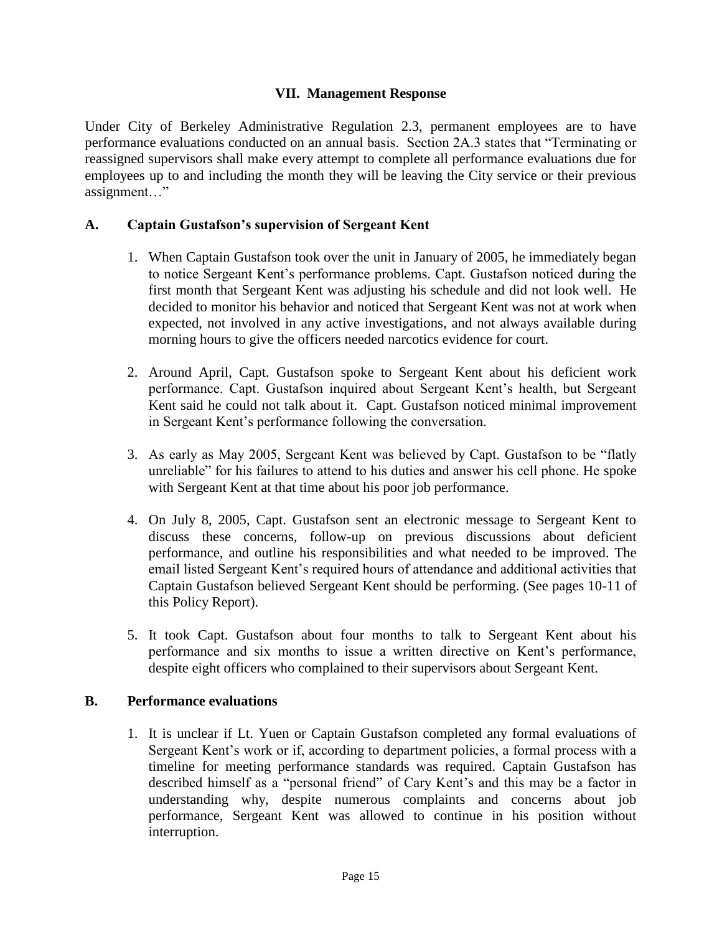#### **VII. Management Response**

Under City of Berkeley Administrative Regulation 2.3, permanent employees are to have performance evaluations conducted on an annual basis. Section 2A.3 states that "Terminating or reassigned supervisors shall make every attempt to complete all performance evaluations due for employees up to and including the month they will be leaving the City service or their previous assignment…"

#### **A. Captain Gustafson's supervision of Sergeant Kent**

- 1. When Captain Gustafson took over the unit in January of 2005, he immediately began to notice Sergeant Kent's performance problems. Capt. Gustafson noticed during the first month that Sergeant Kent was adjusting his schedule and did not look well. He decided to monitor his behavior and noticed that Sergeant Kent was not at work when expected, not involved in any active investigations, and not always available during morning hours to give the officers needed narcotics evidence for court.
- 2. Around April, Capt. Gustafson spoke to Sergeant Kent about his deficient work performance. Capt. Gustafson inquired about Sergeant Kent's health, but Sergeant Kent said he could not talk about it. Capt. Gustafson noticed minimal improvement in Sergeant Kent's performance following the conversation.
- 3. As early as May 2005, Sergeant Kent was believed by Capt. Gustafson to be "flatly unreliable" for his failures to attend to his duties and answer his cell phone. He spoke with Sergeant Kent at that time about his poor job performance.
- 4. On July 8, 2005, Capt. Gustafson sent an electronic message to Sergeant Kent to discuss these concerns, follow-up on previous discussions about deficient performance, and outline his responsibilities and what needed to be improved. The email listed Sergeant Kent's required hours of attendance and additional activities that Captain Gustafson believed Sergeant Kent should be performing. (See pages 10-11 of this Policy Report).
- 5. It took Capt. Gustafson about four months to talk to Sergeant Kent about his performance and six months to issue a written directive on Kent's performance, despite eight officers who complained to their supervisors about Sergeant Kent.

#### **B. Performance evaluations**

1. It is unclear if Lt. Yuen or Captain Gustafson completed any formal evaluations of Sergeant Kent's work or if, according to department policies, a formal process with a timeline for meeting performance standards was required. Captain Gustafson has described himself as a "personal friend" of Cary Kent's and this may be a factor in understanding why, despite numerous complaints and concerns about job performance, Sergeant Kent was allowed to continue in his position without interruption.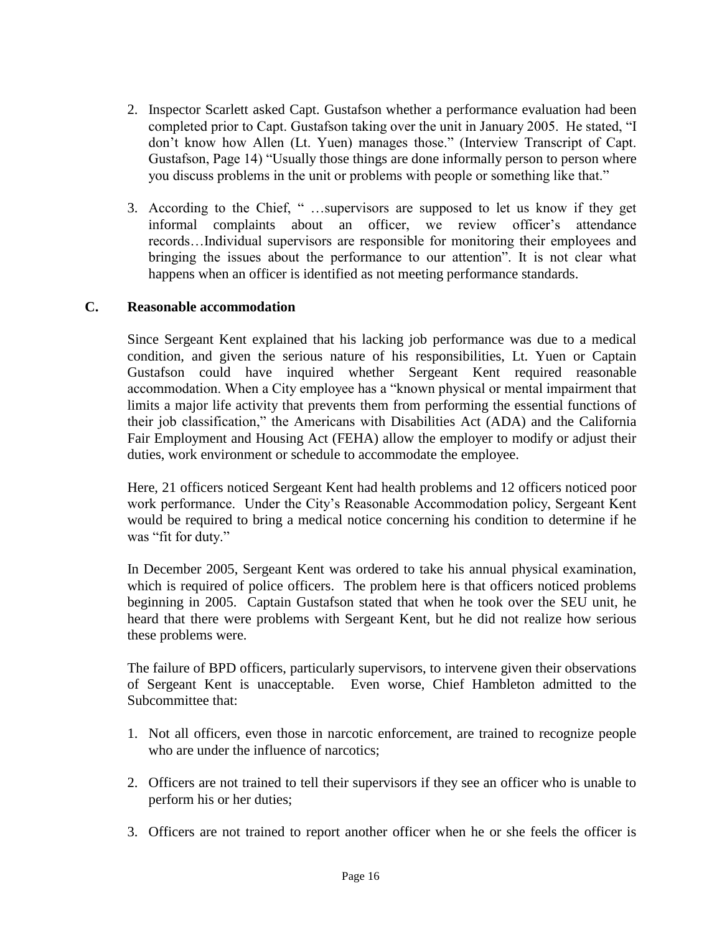- 2. Inspector Scarlett asked Capt. Gustafson whether a performance evaluation had been completed prior to Capt. Gustafson taking over the unit in January 2005. He stated, "I don't know how Allen (Lt. Yuen) manages those." (Interview Transcript of Capt. Gustafson, Page 14) "Usually those things are done informally person to person where you discuss problems in the unit or problems with people or something like that."
- 3. According to the Chief, " …supervisors are supposed to let us know if they get informal complaints about an officer, we review officer's attendance records…Individual supervisors are responsible for monitoring their employees and bringing the issues about the performance to our attention". It is not clear what happens when an officer is identified as not meeting performance standards.

#### **C. Reasonable accommodation**

Since Sergeant Kent explained that his lacking job performance was due to a medical condition, and given the serious nature of his responsibilities, Lt. Yuen or Captain Gustafson could have inquired whether Sergeant Kent required reasonable accommodation. When a City employee has a "known physical or mental impairment that limits a major life activity that prevents them from performing the essential functions of their job classification," the Americans with Disabilities Act (ADA) and the California Fair Employment and Housing Act (FEHA) allow the employer to modify or adjust their duties, work environment or schedule to accommodate the employee.

Here, 21 officers noticed Sergeant Kent had health problems and 12 officers noticed poor work performance. Under the City's Reasonable Accommodation policy, Sergeant Kent would be required to bring a medical notice concerning his condition to determine if he was "fit for duty."

In December 2005, Sergeant Kent was ordered to take his annual physical examination, which is required of police officers. The problem here is that officers noticed problems beginning in 2005. Captain Gustafson stated that when he took over the SEU unit, he heard that there were problems with Sergeant Kent, but he did not realize how serious these problems were.

The failure of BPD officers, particularly supervisors, to intervene given their observations of Sergeant Kent is unacceptable. Even worse, Chief Hambleton admitted to the Subcommittee that:

- 1. Not all officers, even those in narcotic enforcement, are trained to recognize people who are under the influence of narcotics:
- 2. Officers are not trained to tell their supervisors if they see an officer who is unable to perform his or her duties;
- 3. Officers are not trained to report another officer when he or she feels the officer is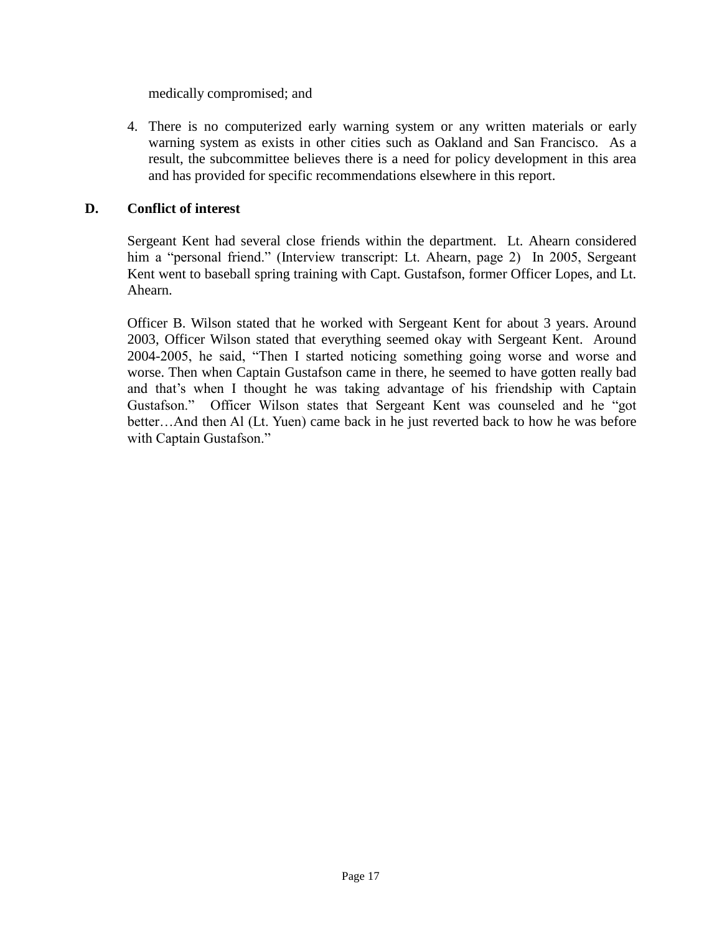medically compromised; and

4. There is no computerized early warning system or any written materials or early warning system as exists in other cities such as Oakland and San Francisco. As a result, the subcommittee believes there is a need for policy development in this area and has provided for specific recommendations elsewhere in this report.

## **D. Conflict of interest**

Sergeant Kent had several close friends within the department. Lt. Ahearn considered him a "personal friend." (Interview transcript: Lt. Ahearn, page 2) In 2005, Sergeant Kent went to baseball spring training with Capt. Gustafson, former Officer Lopes, and Lt. Ahearn.

Officer B. Wilson stated that he worked with Sergeant Kent for about 3 years. Around 2003, Officer Wilson stated that everything seemed okay with Sergeant Kent. Around 2004-2005, he said, "Then I started noticing something going worse and worse and worse. Then when Captain Gustafson came in there, he seemed to have gotten really bad and that's when I thought he was taking advantage of his friendship with Captain Gustafson." Officer Wilson states that Sergeant Kent was counseled and he "got better…And then Al (Lt. Yuen) came back in he just reverted back to how he was before with Captain Gustafson."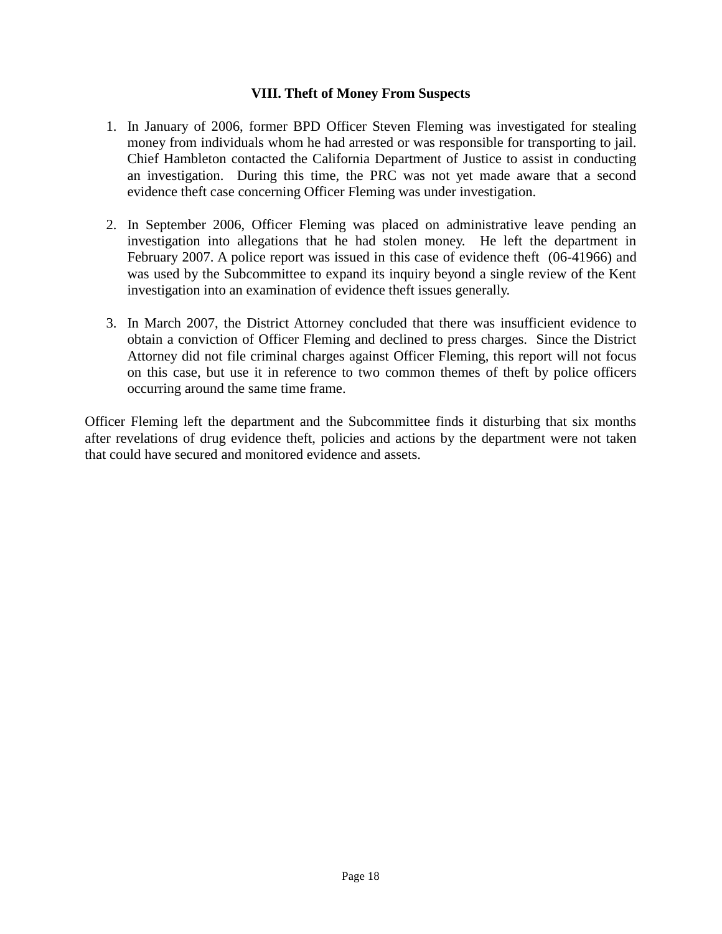#### **VIII. Theft of Money From Suspects**

- 1. In January of 2006, former BPD Officer Steven Fleming was investigated for stealing money from individuals whom he had arrested or was responsible for transporting to jail. Chief Hambleton contacted the California Department of Justice to assist in conducting an investigation. During this time, the PRC was not yet made aware that a second evidence theft case concerning Officer Fleming was under investigation.
- 2. In September 2006, Officer Fleming was placed on administrative leave pending an investigation into allegations that he had stolen money. He left the department in February 2007. A police report was issued in this case of evidence theft (06-41966) and was used by the Subcommittee to expand its inquiry beyond a single review of the Kent investigation into an examination of evidence theft issues generally.
- 3. In March 2007, the District Attorney concluded that there was insufficient evidence to obtain a conviction of Officer Fleming and declined to press charges. Since the District Attorney did not file criminal charges against Officer Fleming, this report will not focus on this case, but use it in reference to two common themes of theft by police officers occurring around the same time frame.

Officer Fleming left the department and the Subcommittee finds it disturbing that six months after revelations of drug evidence theft, policies and actions by the department were not taken that could have secured and monitored evidence and assets.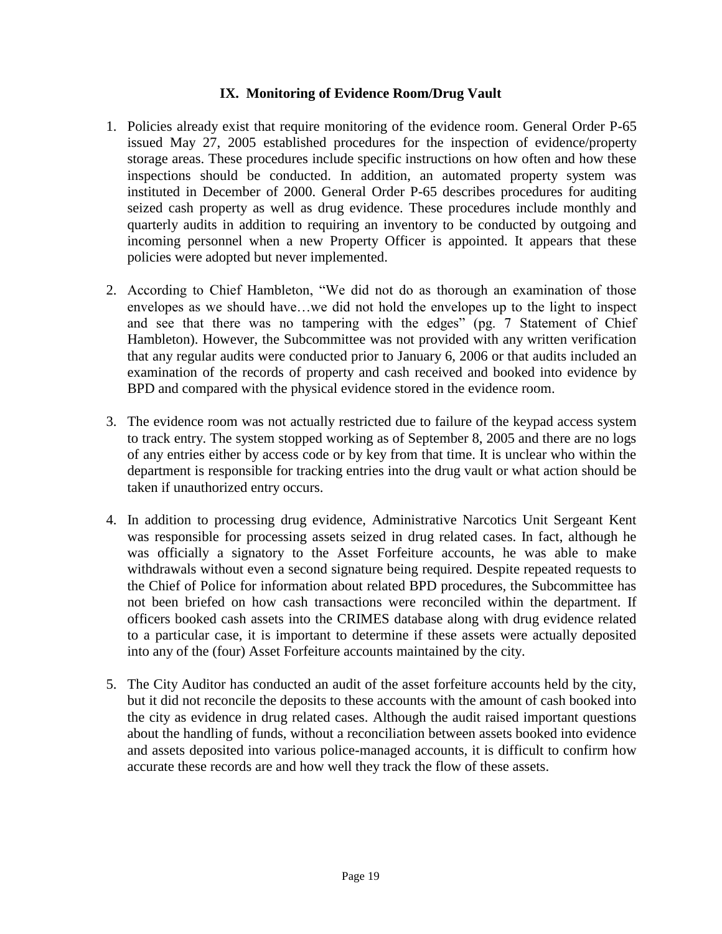#### **IX. Monitoring of Evidence Room/Drug Vault**

- 1. Policies already exist that require monitoring of the evidence room. General Order P-65 issued May 27, 2005 established procedures for the inspection of evidence/property storage areas. These procedures include specific instructions on how often and how these inspections should be conducted. In addition, an automated property system was instituted in December of 2000. General Order P-65 describes procedures for auditing seized cash property as well as drug evidence. These procedures include monthly and quarterly audits in addition to requiring an inventory to be conducted by outgoing and incoming personnel when a new Property Officer is appointed. It appears that these policies were adopted but never implemented.
- 2. According to Chief Hambleton, "We did not do as thorough an examination of those envelopes as we should have…we did not hold the envelopes up to the light to inspect and see that there was no tampering with the edges" (pg. 7 Statement of Chief Hambleton). However, the Subcommittee was not provided with any written verification that any regular audits were conducted prior to January 6, 2006 or that audits included an examination of the records of property and cash received and booked into evidence by BPD and compared with the physical evidence stored in the evidence room.
- 3. The evidence room was not actually restricted due to failure of the keypad access system to track entry. The system stopped working as of September 8, 2005 and there are no logs of any entries either by access code or by key from that time. It is unclear who within the department is responsible for tracking entries into the drug vault or what action should be taken if unauthorized entry occurs.
- 4. In addition to processing drug evidence, Administrative Narcotics Unit Sergeant Kent was responsible for processing assets seized in drug related cases. In fact, although he was officially a signatory to the Asset Forfeiture accounts, he was able to make withdrawals without even a second signature being required. Despite repeated requests to the Chief of Police for information about related BPD procedures, the Subcommittee has not been briefed on how cash transactions were reconciled within the department. If officers booked cash assets into the CRIMES database along with drug evidence related to a particular case, it is important to determine if these assets were actually deposited into any of the (four) Asset Forfeiture accounts maintained by the city.
- 5. The City Auditor has conducted an audit of the asset forfeiture accounts held by the city, but it did not reconcile the deposits to these accounts with the amount of cash booked into the city as evidence in drug related cases. Although the audit raised important questions about the handling of funds, without a reconciliation between assets booked into evidence and assets deposited into various police-managed accounts, it is difficult to confirm how accurate these records are and how well they track the flow of these assets.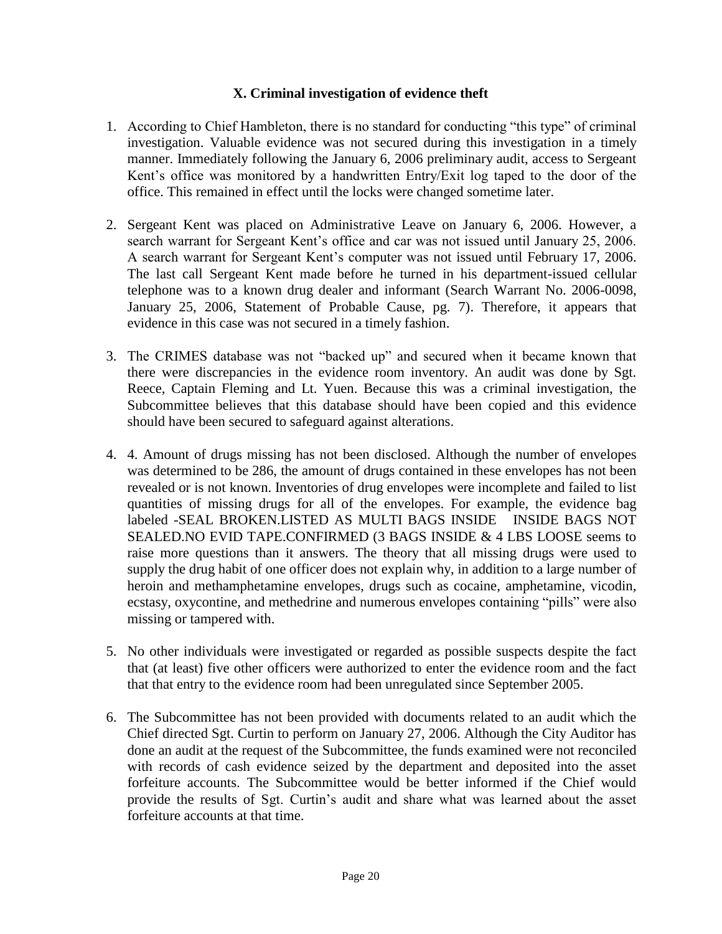#### **X. Criminal investigation of evidence theft**

- 1. According to Chief Hambleton, there is no standard for conducting "this type" of criminal investigation. Valuable evidence was not secured during this investigation in a timely manner. Immediately following the January 6, 2006 preliminary audit, access to Sergeant Kent's office was monitored by a handwritten Entry/Exit log taped to the door of the office. This remained in effect until the locks were changed sometime later.
- 2. Sergeant Kent was placed on Administrative Leave on January 6, 2006. However, a search warrant for Sergeant Kent's office and car was not issued until January 25, 2006. A search warrant for Sergeant Kent's computer was not issued until February 17, 2006. The last call Sergeant Kent made before he turned in his department-issued cellular telephone was to a known drug dealer and informant (Search Warrant No. 2006-0098, January 25, 2006, Statement of Probable Cause, pg. 7). Therefore, it appears that evidence in this case was not secured in a timely fashion.
- 3. The CRIMES database was not "backed up" and secured when it became known that there were discrepancies in the evidence room inventory. An audit was done by Sgt. Reece, Captain Fleming and Lt. Yuen. Because this was a criminal investigation, the Subcommittee believes that this database should have been copied and this evidence should have been secured to safeguard against alterations.
- 4. 4. Amount of drugs missing has not been disclosed. Although the number of envelopes was determined to be 286, the amount of drugs contained in these envelopes has not been revealed or is not known. Inventories of drug envelopes were incomplete and failed to list quantities of missing drugs for all of the envelopes. For example, the evidence bag labeled -SEAL BROKEN.LISTED AS MULTI BAGS INSIDE INSIDE BAGS NOT SEALED.NO EVID TAPE.CONFIRMED (3 BAGS INSIDE & 4 LBS LOOSE seems to raise more questions than it answers. The theory that all missing drugs were used to supply the drug habit of one officer does not explain why, in addition to a large number of heroin and methamphetamine envelopes, drugs such as cocaine, amphetamine, vicodin, ecstasy, oxycontine, and methedrine and numerous envelopes containing "pills" were also missing or tampered with.
- 5. No other individuals were investigated or regarded as possible suspects despite the fact that (at least) five other officers were authorized to enter the evidence room and the fact that that entry to the evidence room had been unregulated since September 2005.
- 6. The Subcommittee has not been provided with documents related to an audit which the Chief directed Sgt. Curtin to perform on January 27, 2006. Although the City Auditor has done an audit at the request of the Subcommittee, the funds examined were not reconciled with records of cash evidence seized by the department and deposited into the asset forfeiture accounts. The Subcommittee would be better informed if the Chief would provide the results of Sgt. Curtin's audit and share what was learned about the asset forfeiture accounts at that time.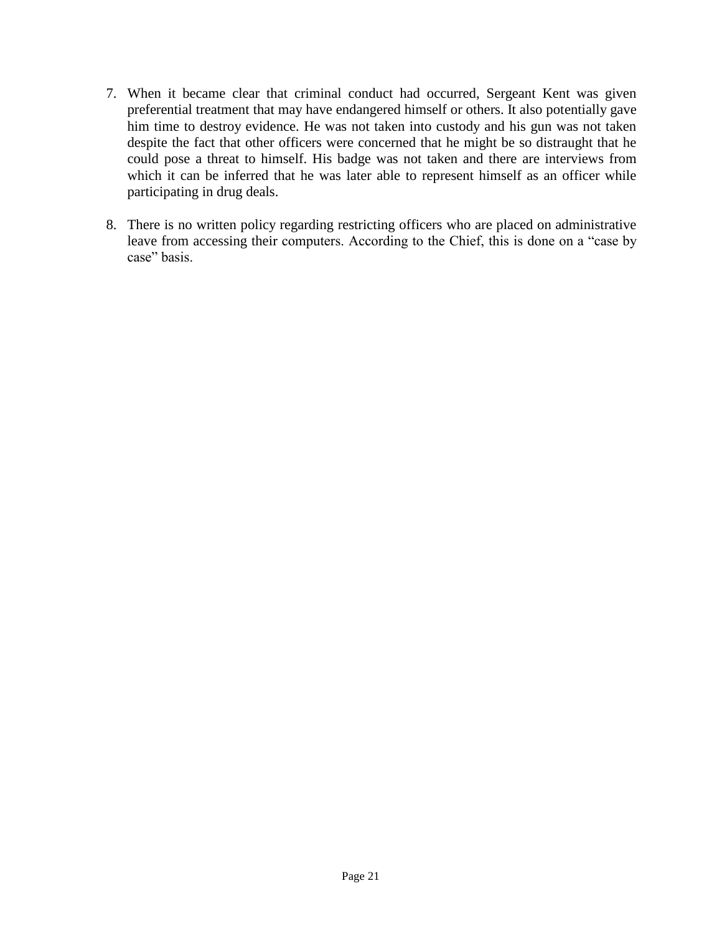- 7. When it became clear that criminal conduct had occurred, Sergeant Kent was given preferential treatment that may have endangered himself or others. It also potentially gave him time to destroy evidence. He was not taken into custody and his gun was not taken despite the fact that other officers were concerned that he might be so distraught that he could pose a threat to himself. His badge was not taken and there are interviews from which it can be inferred that he was later able to represent himself as an officer while participating in drug deals.
- 8. There is no written policy regarding restricting officers who are placed on administrative leave from accessing their computers. According to the Chief, this is done on a "case by case" basis.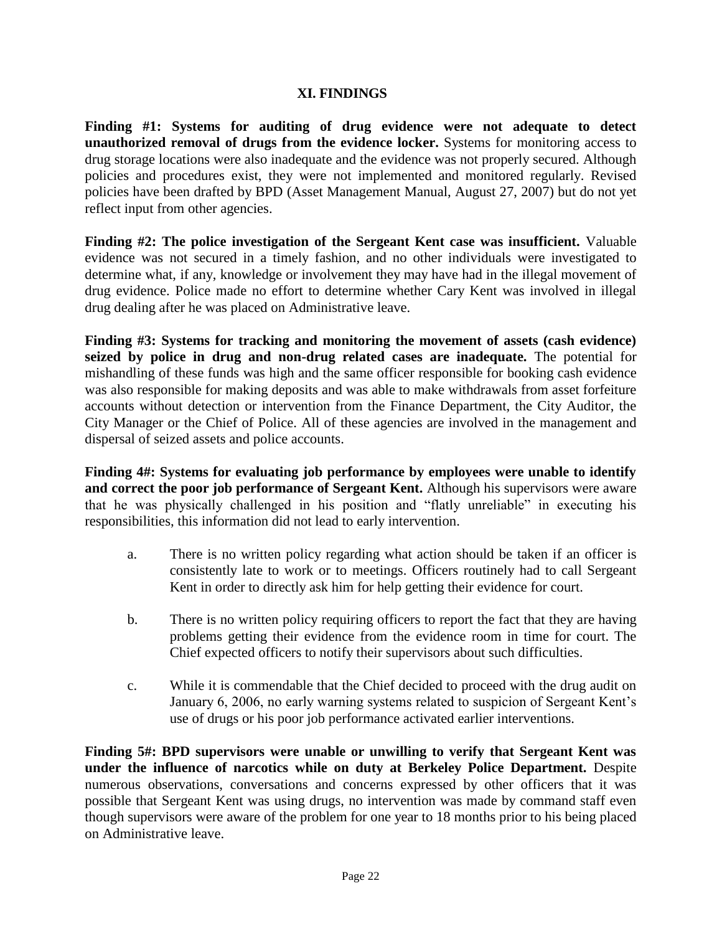# **XI. FINDINGS**

**Finding #1: Systems for auditing of drug evidence were not adequate to detect unauthorized removal of drugs from the evidence locker.** Systems for monitoring access to drug storage locations were also inadequate and the evidence was not properly secured. Although policies and procedures exist, they were not implemented and monitored regularly. Revised policies have been drafted by BPD (Asset Management Manual, August 27, 2007) but do not yet reflect input from other agencies.

**Finding #2: The police investigation of the Sergeant Kent case was insufficient.** Valuable evidence was not secured in a timely fashion, and no other individuals were investigated to determine what, if any, knowledge or involvement they may have had in the illegal movement of drug evidence. Police made no effort to determine whether Cary Kent was involved in illegal drug dealing after he was placed on Administrative leave.

**Finding #3: Systems for tracking and monitoring the movement of assets (cash evidence) seized by police in drug and non-drug related cases are inadequate.** The potential for mishandling of these funds was high and the same officer responsible for booking cash evidence was also responsible for making deposits and was able to make withdrawals from asset forfeiture accounts without detection or intervention from the Finance Department, the City Auditor, the City Manager or the Chief of Police. All of these agencies are involved in the management and dispersal of seized assets and police accounts.

**Finding 4#: Systems for evaluating job performance by employees were unable to identify and correct the poor job performance of Sergeant Kent.** Although his supervisors were aware that he was physically challenged in his position and "flatly unreliable" in executing his responsibilities, this information did not lead to early intervention.

- a. There is no written policy regarding what action should be taken if an officer is consistently late to work or to meetings. Officers routinely had to call Sergeant Kent in order to directly ask him for help getting their evidence for court.
- b. There is no written policy requiring officers to report the fact that they are having problems getting their evidence from the evidence room in time for court. The Chief expected officers to notify their supervisors about such difficulties.
- c. While it is commendable that the Chief decided to proceed with the drug audit on January 6, 2006, no early warning systems related to suspicion of Sergeant Kent's use of drugs or his poor job performance activated earlier interventions.

**Finding 5#: BPD supervisors were unable or unwilling to verify that Sergeant Kent was under the influence of narcotics while on duty at Berkeley Police Department.** Despite numerous observations, conversations and concerns expressed by other officers that it was possible that Sergeant Kent was using drugs, no intervention was made by command staff even though supervisors were aware of the problem for one year to 18 months prior to his being placed on Administrative leave.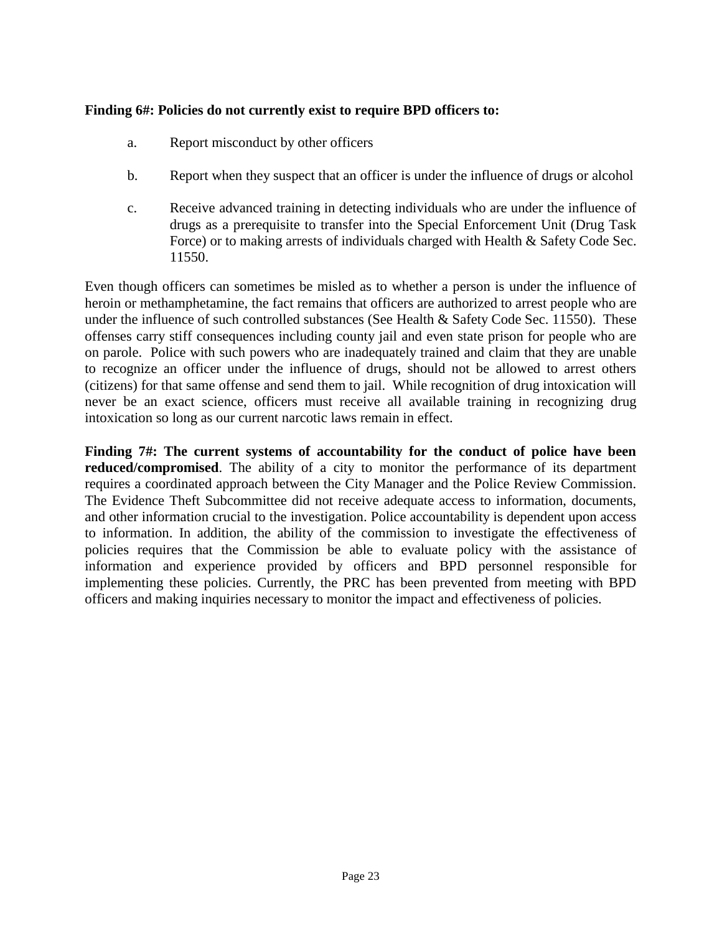# **Finding 6#: Policies do not currently exist to require BPD officers to:**

- a. Report misconduct by other officers
- b. Report when they suspect that an officer is under the influence of drugs or alcohol
- c. Receive advanced training in detecting individuals who are under the influence of drugs as a prerequisite to transfer into the Special Enforcement Unit (Drug Task Force) or to making arrests of individuals charged with Health & Safety Code Sec. 11550.

Even though officers can sometimes be misled as to whether a person is under the influence of heroin or methamphetamine, the fact remains that officers are authorized to arrest people who are under the influence of such controlled substances (See Health & Safety Code Sec. 11550). These offenses carry stiff consequences including county jail and even state prison for people who are on parole. Police with such powers who are inadequately trained and claim that they are unable to recognize an officer under the influence of drugs, should not be allowed to arrest others (citizens) for that same offense and send them to jail. While recognition of drug intoxication will never be an exact science, officers must receive all available training in recognizing drug intoxication so long as our current narcotic laws remain in effect.

**Finding 7#: The current systems of accountability for the conduct of police have been reduced/compromised**. The ability of a city to monitor the performance of its department requires a coordinated approach between the City Manager and the Police Review Commission. The Evidence Theft Subcommittee did not receive adequate access to information, documents, and other information crucial to the investigation. Police accountability is dependent upon access to information. In addition, the ability of the commission to investigate the effectiveness of policies requires that the Commission be able to evaluate policy with the assistance of information and experience provided by officers and BPD personnel responsible for implementing these policies. Currently, the PRC has been prevented from meeting with BPD officers and making inquiries necessary to monitor the impact and effectiveness of policies.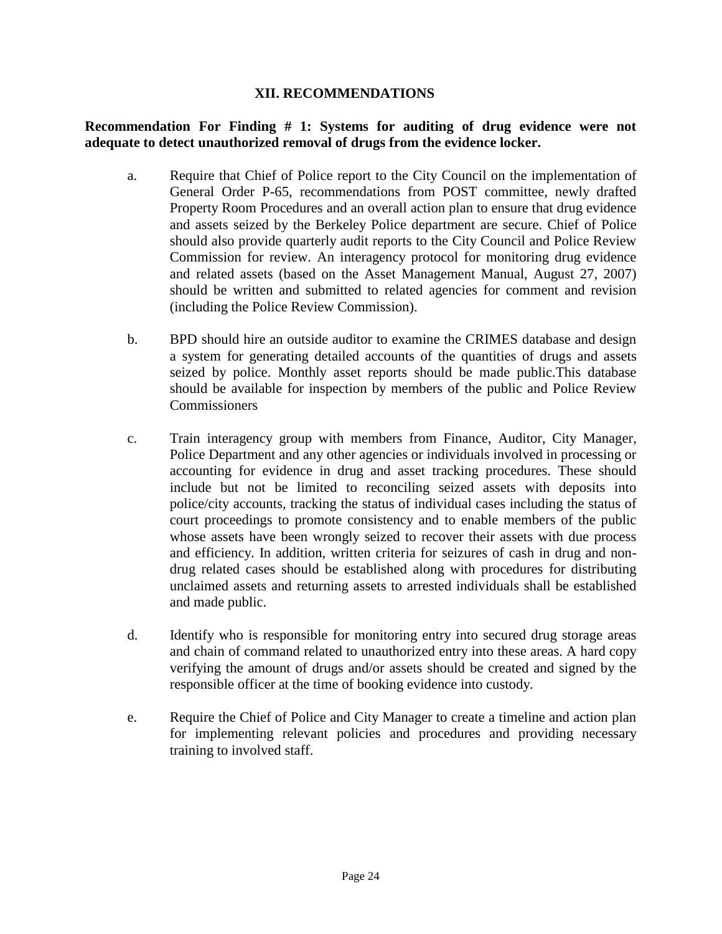#### **XII. RECOMMENDATIONS**

### **Recommendation For Finding # 1: Systems for auditing of drug evidence were not adequate to detect unauthorized removal of drugs from the evidence locker.**

- a. Require that Chief of Police report to the City Council on the implementation of General Order P-65, recommendations from POST committee, newly drafted Property Room Procedures and an overall action plan to ensure that drug evidence and assets seized by the Berkeley Police department are secure. Chief of Police should also provide quarterly audit reports to the City Council and Police Review Commission for review. An interagency protocol for monitoring drug evidence and related assets (based on the Asset Management Manual, August 27, 2007) should be written and submitted to related agencies for comment and revision (including the Police Review Commission).
- b. BPD should hire an outside auditor to examine the CRIMES database and design a system for generating detailed accounts of the quantities of drugs and assets seized by police. Monthly asset reports should be made public.This database should be available for inspection by members of the public and Police Review **Commissioners**
- c. Train interagency group with members from Finance, Auditor, City Manager, Police Department and any other agencies or individuals involved in processing or accounting for evidence in drug and asset tracking procedures. These should include but not be limited to reconciling seized assets with deposits into police/city accounts, tracking the status of individual cases including the status of court proceedings to promote consistency and to enable members of the public whose assets have been wrongly seized to recover their assets with due process and efficiency. In addition, written criteria for seizures of cash in drug and nondrug related cases should be established along with procedures for distributing unclaimed assets and returning assets to arrested individuals shall be established and made public.
- d. Identify who is responsible for monitoring entry into secured drug storage areas and chain of command related to unauthorized entry into these areas. A hard copy verifying the amount of drugs and/or assets should be created and signed by the responsible officer at the time of booking evidence into custody.
- e. Require the Chief of Police and City Manager to create a timeline and action plan for implementing relevant policies and procedures and providing necessary training to involved staff.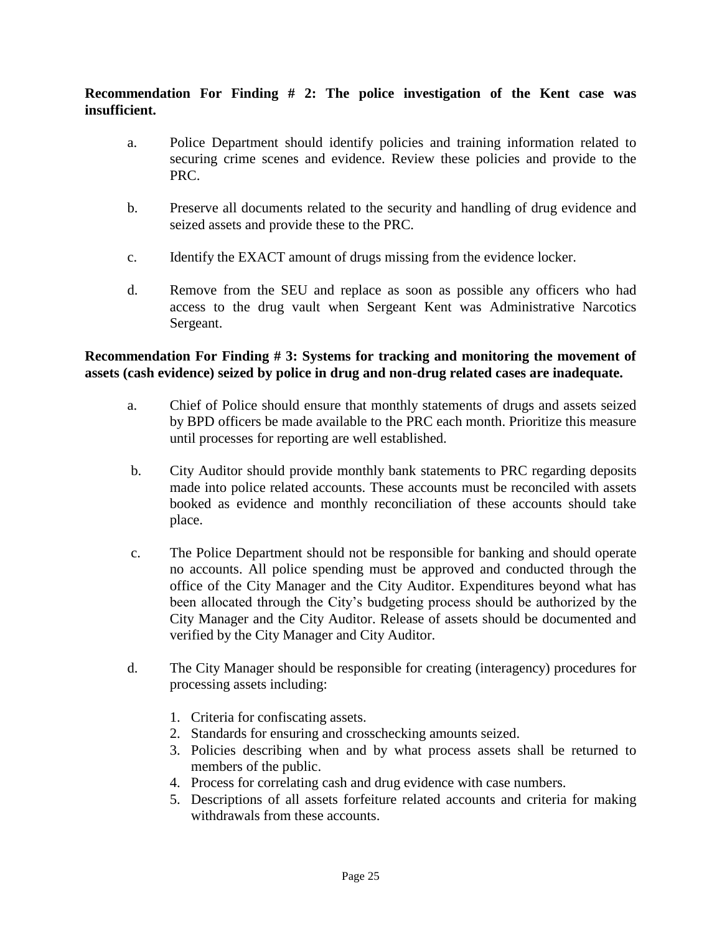**Recommendation For Finding # 2: The police investigation of the Kent case was insufficient.**

- a. Police Department should identify policies and training information related to securing crime scenes and evidence. Review these policies and provide to the PRC.
- b. Preserve all documents related to the security and handling of drug evidence and seized assets and provide these to the PRC.
- c. Identify the EXACT amount of drugs missing from the evidence locker.
- d. Remove from the SEU and replace as soon as possible any officers who had access to the drug vault when Sergeant Kent was Administrative Narcotics Sergeant.

# **Recommendation For Finding # 3: Systems for tracking and monitoring the movement of assets (cash evidence) seized by police in drug and non-drug related cases are inadequate.**

- a. Chief of Police should ensure that monthly statements of drugs and assets seized by BPD officers be made available to the PRC each month. Prioritize this measure until processes for reporting are well established.
- b. City Auditor should provide monthly bank statements to PRC regarding deposits made into police related accounts. These accounts must be reconciled with assets booked as evidence and monthly reconciliation of these accounts should take place.
- c. The Police Department should not be responsible for banking and should operate no accounts. All police spending must be approved and conducted through the office of the City Manager and the City Auditor. Expenditures beyond what has been allocated through the City's budgeting process should be authorized by the City Manager and the City Auditor. Release of assets should be documented and verified by the City Manager and City Auditor.
- d. The City Manager should be responsible for creating (interagency) procedures for processing assets including:
	- 1. Criteria for confiscating assets.
	- 2. Standards for ensuring and crosschecking amounts seized.
	- 3. Policies describing when and by what process assets shall be returned to members of the public.
	- 4. Process for correlating cash and drug evidence with case numbers.
	- 5. Descriptions of all assets forfeiture related accounts and criteria for making withdrawals from these accounts.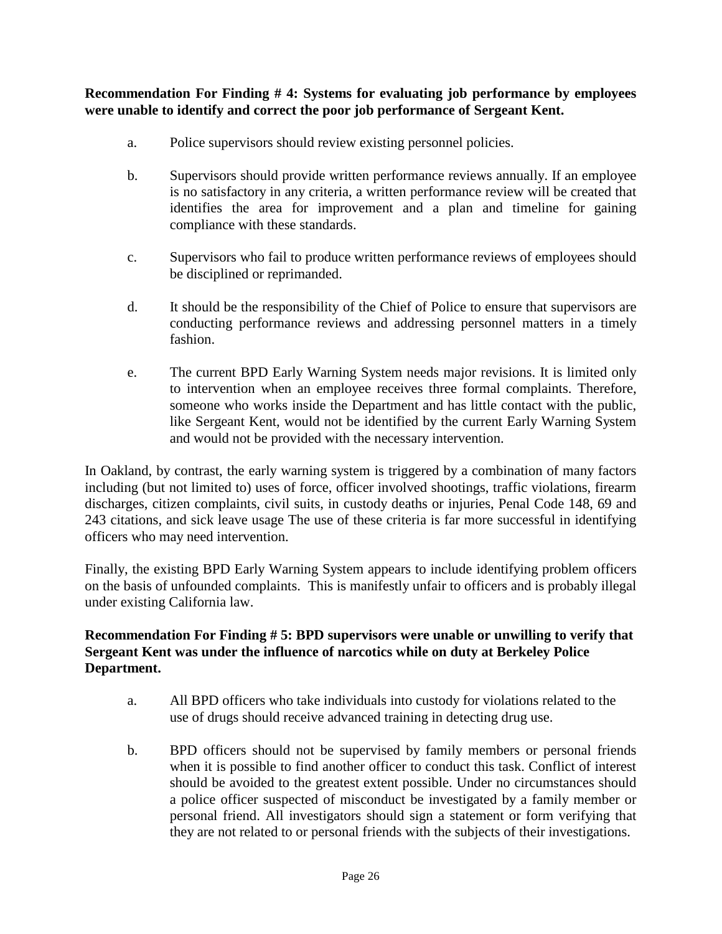# **Recommendation For Finding # 4: Systems for evaluating job performance by employees were unable to identify and correct the poor job performance of Sergeant Kent.**

- a. Police supervisors should review existing personnel policies.
- b. Supervisors should provide written performance reviews annually. If an employee is no satisfactory in any criteria, a written performance review will be created that identifies the area for improvement and a plan and timeline for gaining compliance with these standards.
- c. Supervisors who fail to produce written performance reviews of employees should be disciplined or reprimanded.
- d. It should be the responsibility of the Chief of Police to ensure that supervisors are conducting performance reviews and addressing personnel matters in a timely fashion.
- e. The current BPD Early Warning System needs major revisions. It is limited only to intervention when an employee receives three formal complaints. Therefore, someone who works inside the Department and has little contact with the public, like Sergeant Kent, would not be identified by the current Early Warning System and would not be provided with the necessary intervention.

In Oakland, by contrast, the early warning system is triggered by a combination of many factors including (but not limited to) uses of force, officer involved shootings, traffic violations, firearm discharges, citizen complaints, civil suits, in custody deaths or injuries, Penal Code 148, 69 and 243 citations, and sick leave usage The use of these criteria is far more successful in identifying officers who may need intervention.

Finally, the existing BPD Early Warning System appears to include identifying problem officers on the basis of unfounded complaints. This is manifestly unfair to officers and is probably illegal under existing California law.

#### **Recommendation For Finding # 5: BPD supervisors were unable or unwilling to verify that Sergeant Kent was under the influence of narcotics while on duty at Berkeley Police Department.**

- a. All BPD officers who take individuals into custody for violations related to the use of drugs should receive advanced training in detecting drug use.
- b. BPD officers should not be supervised by family members or personal friends when it is possible to find another officer to conduct this task. Conflict of interest should be avoided to the greatest extent possible. Under no circumstances should a police officer suspected of misconduct be investigated by a family member or personal friend. All investigators should sign a statement or form verifying that they are not related to or personal friends with the subjects of their investigations.